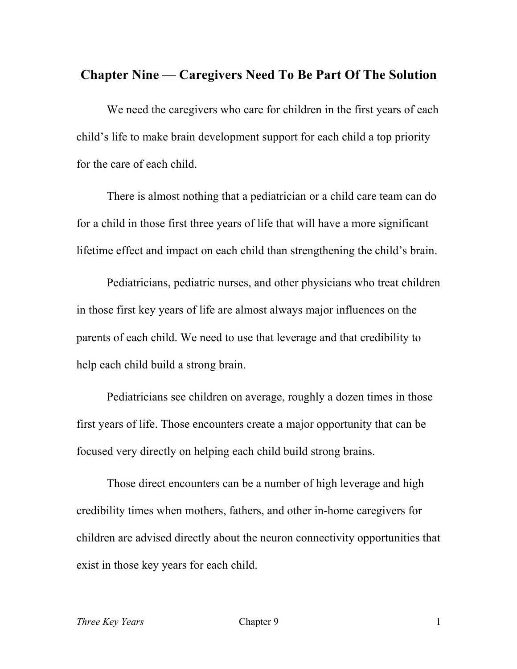### **Chapter Nine — Caregivers Need To Be Part Of The Solution**

We need the caregivers who care for children in the first years of each child's life to make brain development support for each child a top priority for the care of each child.

There is almost nothing that a pediatrician or a child care team can do for a child in those first three years of life that will have a more significant lifetime effect and impact on each child than strengthening the child's brain.

Pediatricians, pediatric nurses, and other physicians who treat children in those first key years of life are almost always major influences on the parents of each child. We need to use that leverage and that credibility to help each child build a strong brain.

Pediatricians see children on average, roughly a dozen times in those first years of life. Those encounters create a major opportunity that can be focused very directly on helping each child build strong brains.

Those direct encounters can be a number of high leverage and high credibility times when mothers, fathers, and other in-home caregivers for children are advised directly about the neuron connectivity opportunities that exist in those key years for each child.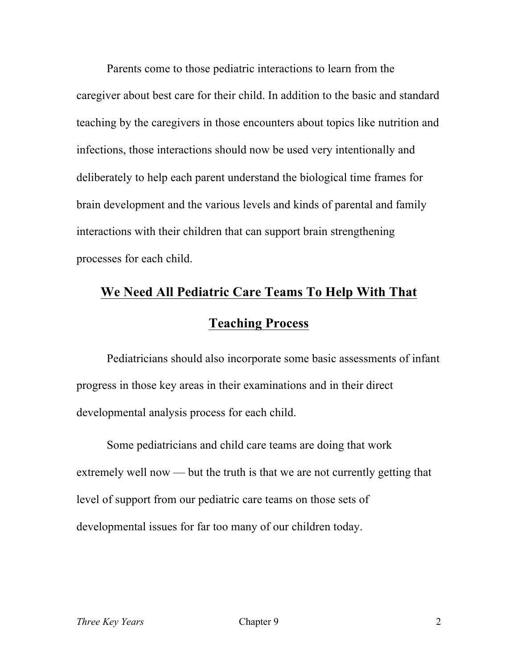Parents come to those pediatric interactions to learn from the caregiver about best care for their child. In addition to the basic and standard teaching by the caregivers in those encounters about topics like nutrition and infections, those interactions should now be used very intentionally and deliberately to help each parent understand the biological time frames for brain development and the various levels and kinds of parental and family interactions with their children that can support brain strengthening processes for each child.

# **We Need All Pediatric Care Teams To Help With That Teaching Process**

Pediatricians should also incorporate some basic assessments of infant progress in those key areas in their examinations and in their direct developmental analysis process for each child.

Some pediatricians and child care teams are doing that work extremely well now — but the truth is that we are not currently getting that level of support from our pediatric care teams on those sets of developmental issues for far too many of our children today.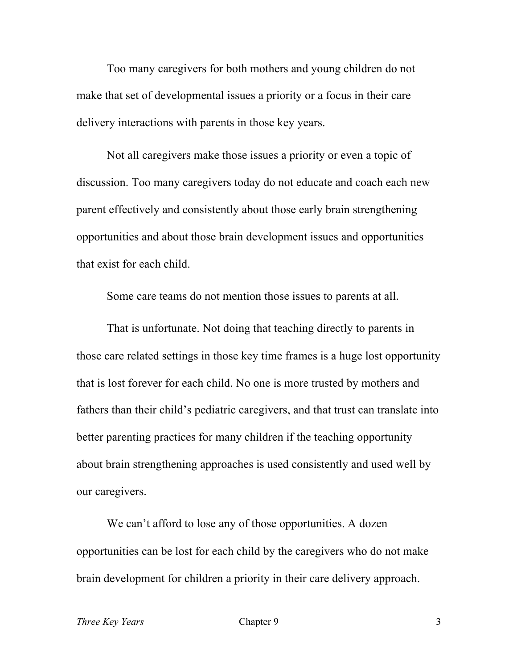Too many caregivers for both mothers and young children do not make that set of developmental issues a priority or a focus in their care delivery interactions with parents in those key years.

Not all caregivers make those issues a priority or even a topic of discussion. Too many caregivers today do not educate and coach each new parent effectively and consistently about those early brain strengthening opportunities and about those brain development issues and opportunities that exist for each child.

Some care teams do not mention those issues to parents at all.

That is unfortunate. Not doing that teaching directly to parents in those care related settings in those key time frames is a huge lost opportunity that is lost forever for each child. No one is more trusted by mothers and fathers than their child's pediatric caregivers, and that trust can translate into better parenting practices for many children if the teaching opportunity about brain strengthening approaches is used consistently and used well by our caregivers.

We can't afford to lose any of those opportunities. A dozen opportunities can be lost for each child by the caregivers who do not make brain development for children a priority in their care delivery approach.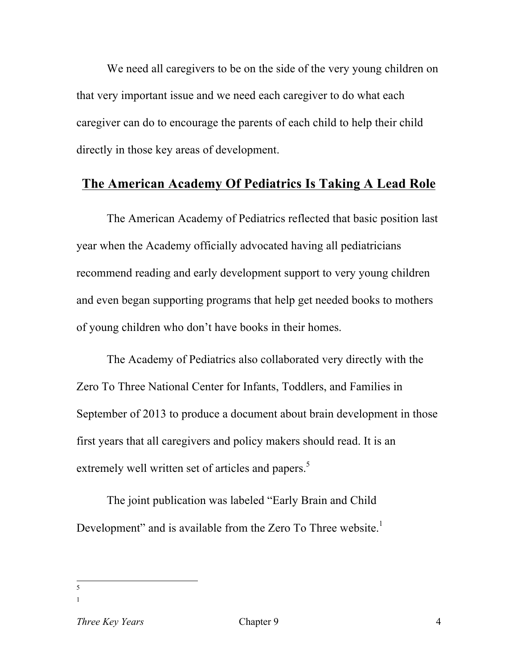We need all caregivers to be on the side of the very young children on that very important issue and we need each caregiver to do what each caregiver can do to encourage the parents of each child to help their child directly in those key areas of development.

#### **The American Academy Of Pediatrics Is Taking A Lead Role**

The American Academy of Pediatrics reflected that basic position last year when the Academy officially advocated having all pediatricians recommend reading and early development support to very young children and even began supporting programs that help get needed books to mothers of young children who don't have books in their homes.

The Academy of Pediatrics also collaborated very directly with the Zero To Three National Center for Infants, Toddlers, and Families in September of 2013 to produce a document about brain development in those first years that all caregivers and policy makers should read. It is an extremely well written set of articles and papers.<sup>5</sup>

The joint publication was labeled "Early Brain and Child Development" and is available from the Zero To Three website.<sup>1</sup>

 <sup>5</sup>

<sup>1</sup>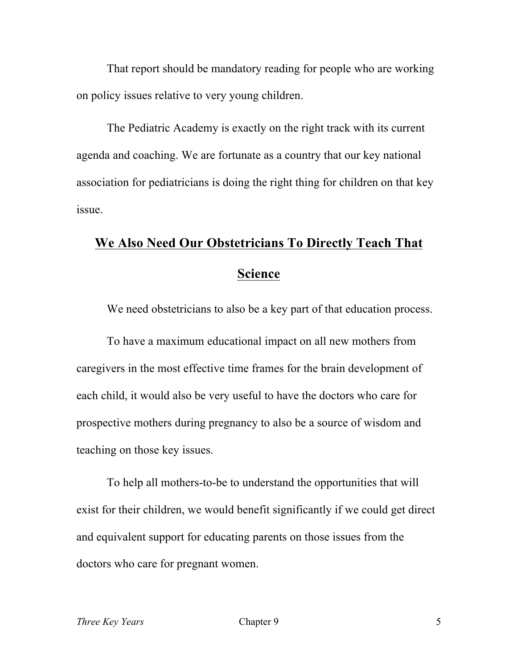That report should be mandatory reading for people who are working on policy issues relative to very young children.

The Pediatric Academy is exactly on the right track with its current agenda and coaching. We are fortunate as a country that our key national association for pediatricians is doing the right thing for children on that key issue.

## **We Also Need Our Obstetricians To Directly Teach That Science**

We need obstetricians to also be a key part of that education process.

To have a maximum educational impact on all new mothers from caregivers in the most effective time frames for the brain development of each child, it would also be very useful to have the doctors who care for prospective mothers during pregnancy to also be a source of wisdom and teaching on those key issues.

To help all mothers-to-be to understand the opportunities that will exist for their children, we would benefit significantly if we could get direct and equivalent support for educating parents on those issues from the doctors who care for pregnant women.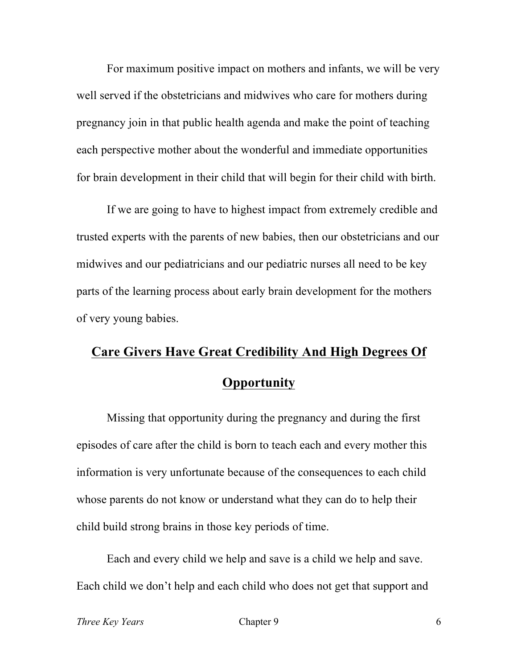For maximum positive impact on mothers and infants, we will be very well served if the obstetricians and midwives who care for mothers during pregnancy join in that public health agenda and make the point of teaching each perspective mother about the wonderful and immediate opportunities for brain development in their child that will begin for their child with birth.

If we are going to have to highest impact from extremely credible and trusted experts with the parents of new babies, then our obstetricians and our midwives and our pediatricians and our pediatric nurses all need to be key parts of the learning process about early brain development for the mothers of very young babies.

# **Care Givers Have Great Credibility And High Degrees Of Opportunity**

Missing that opportunity during the pregnancy and during the first episodes of care after the child is born to teach each and every mother this information is very unfortunate because of the consequences to each child whose parents do not know or understand what they can do to help their child build strong brains in those key periods of time.

Each and every child we help and save is a child we help and save. Each child we don't help and each child who does not get that support and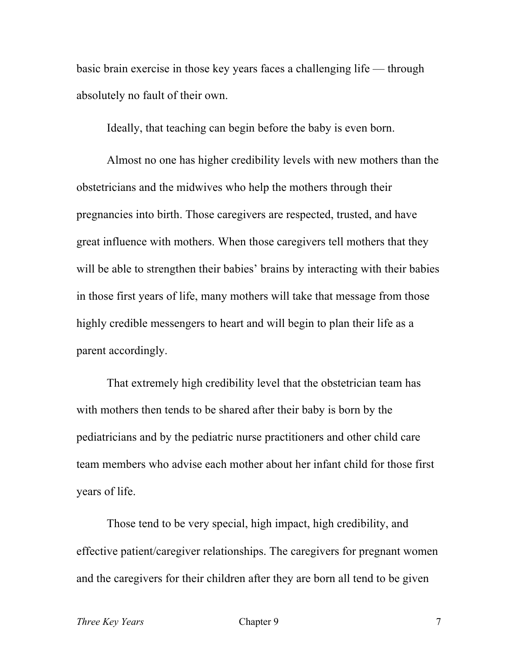basic brain exercise in those key years faces a challenging life — through absolutely no fault of their own.

Ideally, that teaching can begin before the baby is even born.

Almost no one has higher credibility levels with new mothers than the obstetricians and the midwives who help the mothers through their pregnancies into birth. Those caregivers are respected, trusted, and have great influence with mothers. When those caregivers tell mothers that they will be able to strengthen their babies' brains by interacting with their babies in those first years of life, many mothers will take that message from those highly credible messengers to heart and will begin to plan their life as a parent accordingly.

That extremely high credibility level that the obstetrician team has with mothers then tends to be shared after their baby is born by the pediatricians and by the pediatric nurse practitioners and other child care team members who advise each mother about her infant child for those first years of life.

Those tend to be very special, high impact, high credibility, and effective patient/caregiver relationships. The caregivers for pregnant women and the caregivers for their children after they are born all tend to be given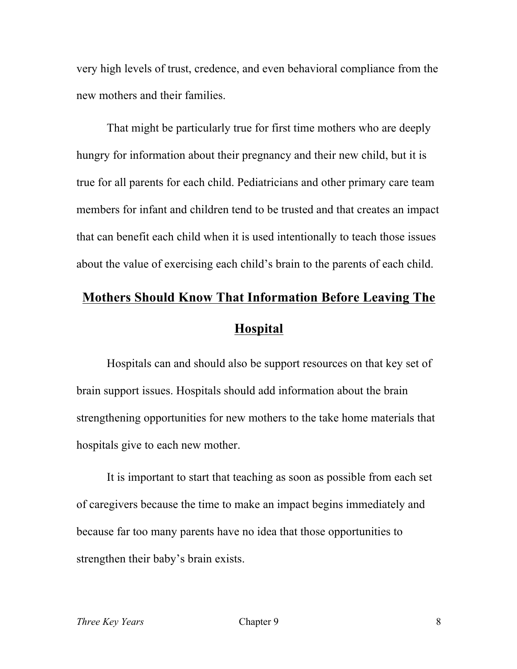very high levels of trust, credence, and even behavioral compliance from the new mothers and their families.

That might be particularly true for first time mothers who are deeply hungry for information about their pregnancy and their new child, but it is true for all parents for each child. Pediatricians and other primary care team members for infant and children tend to be trusted and that creates an impact that can benefit each child when it is used intentionally to teach those issues about the value of exercising each child's brain to the parents of each child.

# **Mothers Should Know That Information Before Leaving The Hospital**

Hospitals can and should also be support resources on that key set of brain support issues. Hospitals should add information about the brain strengthening opportunities for new mothers to the take home materials that hospitals give to each new mother.

It is important to start that teaching as soon as possible from each set of caregivers because the time to make an impact begins immediately and because far too many parents have no idea that those opportunities to strengthen their baby's brain exists.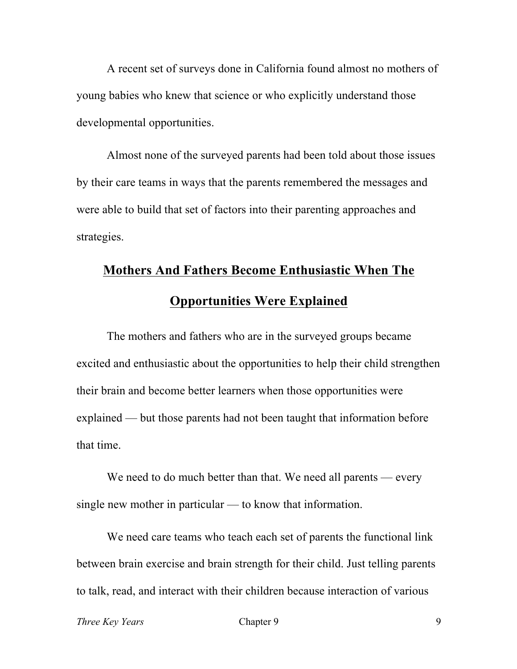A recent set of surveys done in California found almost no mothers of young babies who knew that science or who explicitly understand those developmental opportunities.

Almost none of the surveyed parents had been told about those issues by their care teams in ways that the parents remembered the messages and were able to build that set of factors into their parenting approaches and strategies.

### **Mothers And Fathers Become Enthusiastic When The Opportunities Were Explained**

The mothers and fathers who are in the surveyed groups became excited and enthusiastic about the opportunities to help their child strengthen their brain and become better learners when those opportunities were explained — but those parents had not been taught that information before that time.

We need to do much better than that. We need all parents — every single new mother in particular — to know that information.

We need care teams who teach each set of parents the functional link between brain exercise and brain strength for their child. Just telling parents to talk, read, and interact with their children because interaction of various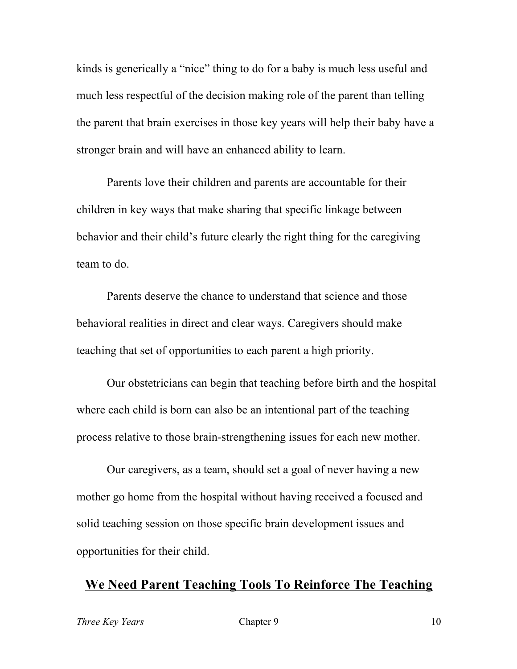kinds is generically a "nice" thing to do for a baby is much less useful and much less respectful of the decision making role of the parent than telling the parent that brain exercises in those key years will help their baby have a stronger brain and will have an enhanced ability to learn.

Parents love their children and parents are accountable for their children in key ways that make sharing that specific linkage between behavior and their child's future clearly the right thing for the caregiving team to do.

Parents deserve the chance to understand that science and those behavioral realities in direct and clear ways. Caregivers should make teaching that set of opportunities to each parent a high priority.

Our obstetricians can begin that teaching before birth and the hospital where each child is born can also be an intentional part of the teaching process relative to those brain-strengthening issues for each new mother.

Our caregivers, as a team, should set a goal of never having a new mother go home from the hospital without having received a focused and solid teaching session on those specific brain development issues and opportunities for their child.

#### **We Need Parent Teaching Tools To Reinforce The Teaching**

*Three Key Years* 10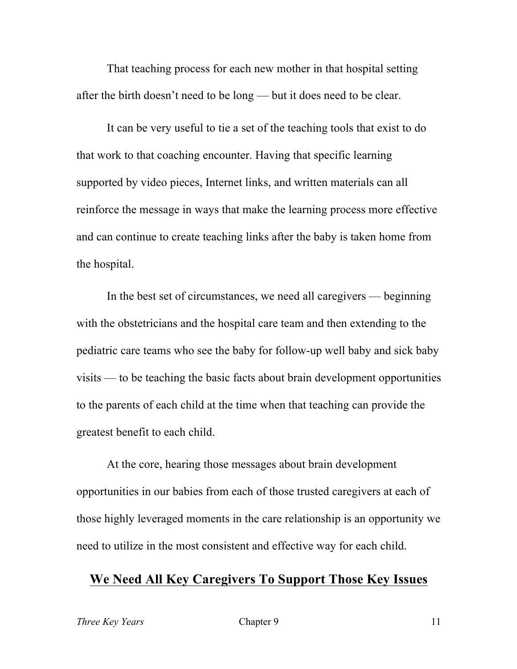That teaching process for each new mother in that hospital setting after the birth doesn't need to be long — but it does need to be clear.

It can be very useful to tie a set of the teaching tools that exist to do that work to that coaching encounter. Having that specific learning supported by video pieces, Internet links, and written materials can all reinforce the message in ways that make the learning process more effective and can continue to create teaching links after the baby is taken home from the hospital.

In the best set of circumstances, we need all caregivers — beginning with the obstetricians and the hospital care team and then extending to the pediatric care teams who see the baby for follow-up well baby and sick baby visits — to be teaching the basic facts about brain development opportunities to the parents of each child at the time when that teaching can provide the greatest benefit to each child.

At the core, hearing those messages about brain development opportunities in our babies from each of those trusted caregivers at each of those highly leveraged moments in the care relationship is an opportunity we need to utilize in the most consistent and effective way for each child.

#### **We Need All Key Caregivers To Support Those Key Issues**

*Three Key Years* Chapter 9 211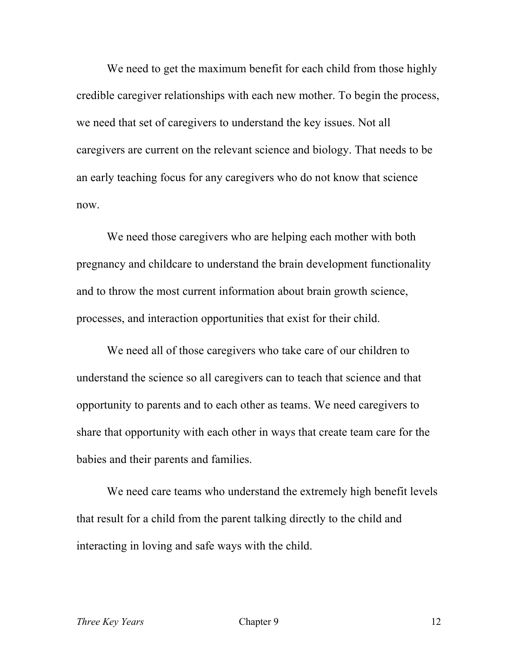We need to get the maximum benefit for each child from those highly credible caregiver relationships with each new mother. To begin the process, we need that set of caregivers to understand the key issues. Not all caregivers are current on the relevant science and biology. That needs to be an early teaching focus for any caregivers who do not know that science now.

We need those caregivers who are helping each mother with both pregnancy and childcare to understand the brain development functionality and to throw the most current information about brain growth science, processes, and interaction opportunities that exist for their child.

We need all of those caregivers who take care of our children to understand the science so all caregivers can to teach that science and that opportunity to parents and to each other as teams. We need caregivers to share that opportunity with each other in ways that create team care for the babies and their parents and families.

We need care teams who understand the extremely high benefit levels that result for a child from the parent talking directly to the child and interacting in loving and safe ways with the child.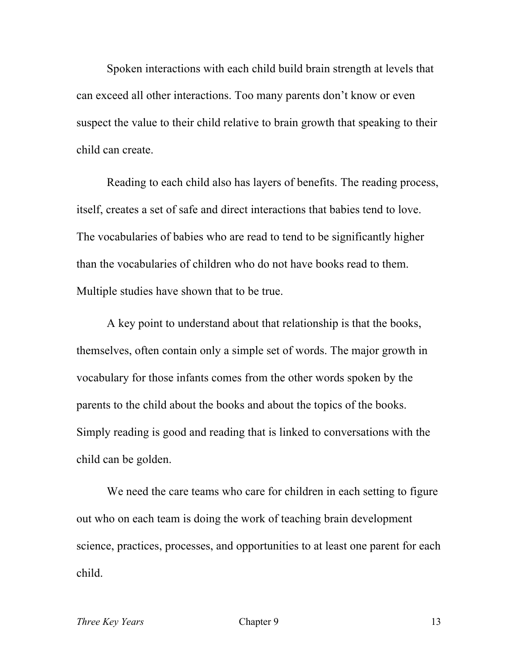Spoken interactions with each child build brain strength at levels that can exceed all other interactions. Too many parents don't know or even suspect the value to their child relative to brain growth that speaking to their child can create.

Reading to each child also has layers of benefits. The reading process, itself, creates a set of safe and direct interactions that babies tend to love. The vocabularies of babies who are read to tend to be significantly higher than the vocabularies of children who do not have books read to them. Multiple studies have shown that to be true.

A key point to understand about that relationship is that the books, themselves, often contain only a simple set of words. The major growth in vocabulary for those infants comes from the other words spoken by the parents to the child about the books and about the topics of the books. Simply reading is good and reading that is linked to conversations with the child can be golden.

We need the care teams who care for children in each setting to figure out who on each team is doing the work of teaching brain development science, practices, processes, and opportunities to at least one parent for each child.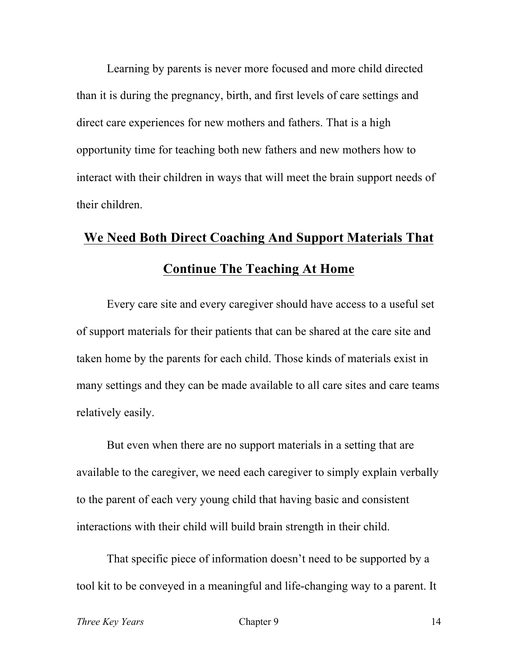Learning by parents is never more focused and more child directed than it is during the pregnancy, birth, and first levels of care settings and direct care experiences for new mothers and fathers. That is a high opportunity time for teaching both new fathers and new mothers how to interact with their children in ways that will meet the brain support needs of their children.

# **We Need Both Direct Coaching And Support Materials That Continue The Teaching At Home**

Every care site and every caregiver should have access to a useful set of support materials for their patients that can be shared at the care site and taken home by the parents for each child. Those kinds of materials exist in many settings and they can be made available to all care sites and care teams relatively easily.

But even when there are no support materials in a setting that are available to the caregiver, we need each caregiver to simply explain verbally to the parent of each very young child that having basic and consistent interactions with their child will build brain strength in their child.

That specific piece of information doesn't need to be supported by a tool kit to be conveyed in a meaningful and life-changing way to a parent. It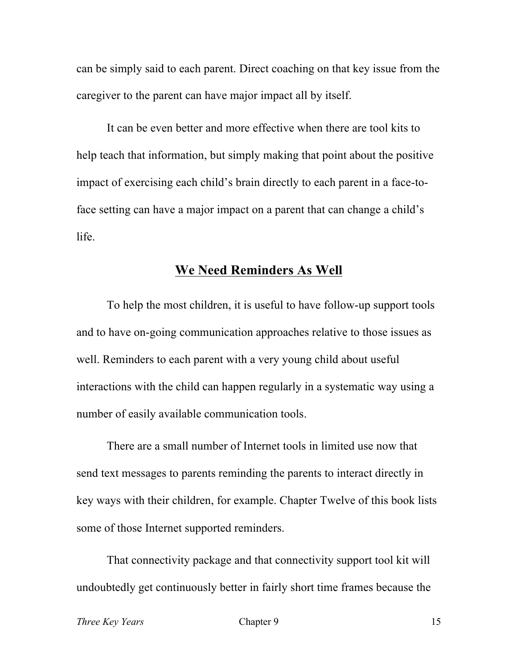can be simply said to each parent. Direct coaching on that key issue from the caregiver to the parent can have major impact all by itself.

It can be even better and more effective when there are tool kits to help teach that information, but simply making that point about the positive impact of exercising each child's brain directly to each parent in a face-toface setting can have a major impact on a parent that can change a child's life.

### **We Need Reminders As Well**

To help the most children, it is useful to have follow-up support tools and to have on-going communication approaches relative to those issues as well. Reminders to each parent with a very young child about useful interactions with the child can happen regularly in a systematic way using a number of easily available communication tools.

There are a small number of Internet tools in limited use now that send text messages to parents reminding the parents to interact directly in key ways with their children, for example. Chapter Twelve of this book lists some of those Internet supported reminders.

That connectivity package and that connectivity support tool kit will undoubtedly get continuously better in fairly short time frames because the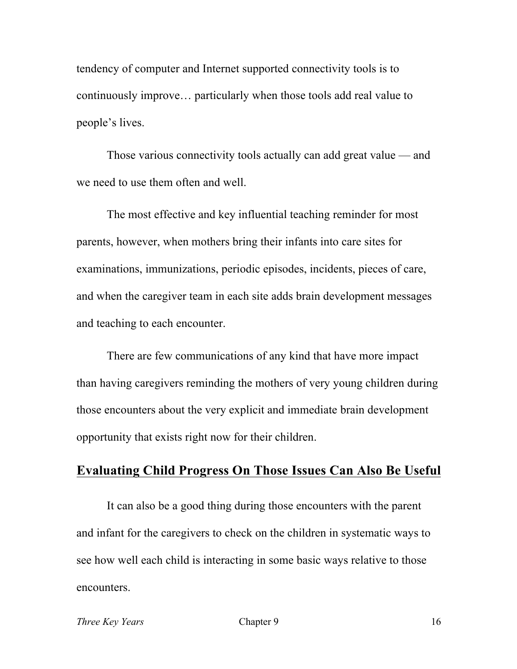tendency of computer and Internet supported connectivity tools is to continuously improve… particularly when those tools add real value to people's lives.

Those various connectivity tools actually can add great value — and we need to use them often and well.

The most effective and key influential teaching reminder for most parents, however, when mothers bring their infants into care sites for examinations, immunizations, periodic episodes, incidents, pieces of care, and when the caregiver team in each site adds brain development messages and teaching to each encounter.

There are few communications of any kind that have more impact than having caregivers reminding the mothers of very young children during those encounters about the very explicit and immediate brain development opportunity that exists right now for their children.

### **Evaluating Child Progress On Those Issues Can Also Be Useful**

It can also be a good thing during those encounters with the parent and infant for the caregivers to check on the children in systematic ways to see how well each child is interacting in some basic ways relative to those encounters.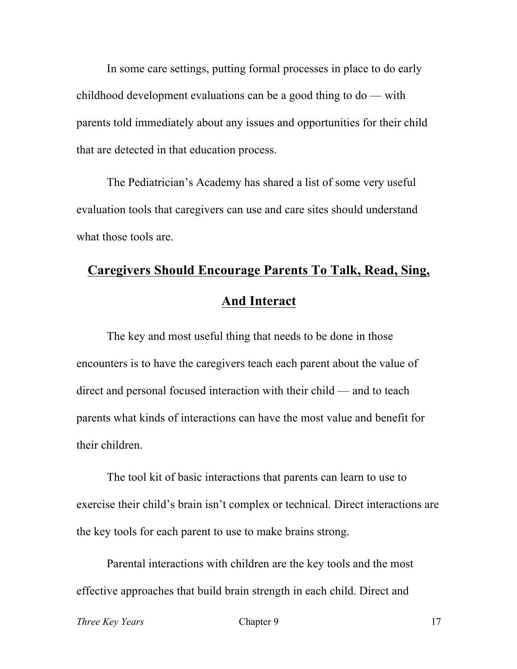In some care settings, putting formal processes in place to do early childhood development evaluations can be a good thing to do — with parents told immediately about any issues and opportunities for their child that are detected in that education process.

The Pediatrician's Academy has shared a list of some very useful evaluation tools that caregivers can use and care sites should understand what those tools are.

## **Caregivers Should Encourage Parents To Talk, Read, Sing, And Interact**

The key and most useful thing that needs to be done in those encounters is to have the caregivers teach each parent about the value of direct and personal focused interaction with their child — and to teach parents what kinds of interactions can have the most value and benefit for their children.

The tool kit of basic interactions that parents can learn to use to exercise their child's brain isn't complex or technical. Direct interactions are the key tools for each parent to use to make brains strong.

Parental interactions with children are the key tools and the most effective approaches that build brain strength in each child. Direct and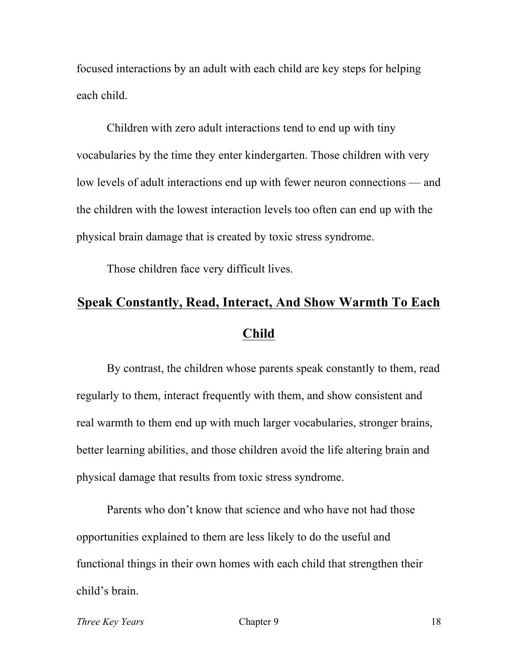focused interactions by an adult with each child are key steps for helping each child.

Children with zero adult interactions tend to end up with tiny vocabularies by the time they enter kindergarten. Those children with very low levels of adult interactions end up with fewer neuron connections — and the children with the lowest interaction levels too often can end up with the physical brain damage that is created by toxic stress syndrome.

Those children face very difficult lives.

### **Speak Constantly, Read, Interact, And Show Warmth To Each Child**

By contrast, the children whose parents speak constantly to them, read regularly to them, interact frequently with them, and show consistent and real warmth to them end up with much larger vocabularies, stronger brains, better learning abilities, and those children avoid the life altering brain and physical damage that results from toxic stress syndrome.

Parents who don't know that science and who have not had those opportunities explained to them are less likely to do the useful and functional things in their own homes with each child that strengthen their child's brain.

*Three Key Years* 18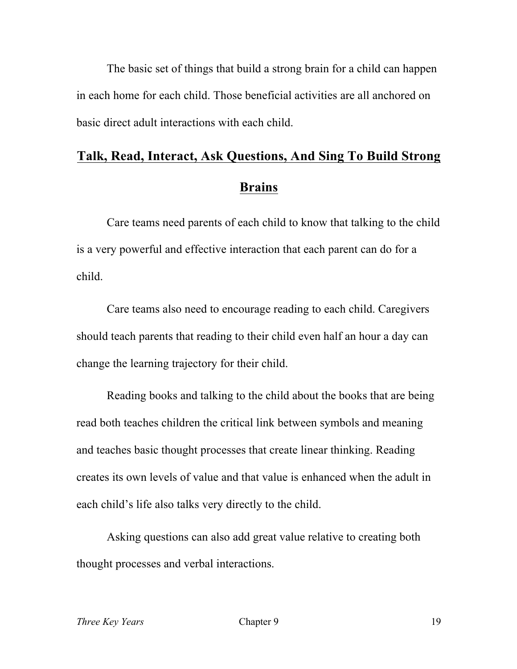The basic set of things that build a strong brain for a child can happen in each home for each child. Those beneficial activities are all anchored on basic direct adult interactions with each child.

# **Talk, Read, Interact, Ask Questions, And Sing To Build Strong Brains**

Care teams need parents of each child to know that talking to the child is a very powerful and effective interaction that each parent can do for a child.

Care teams also need to encourage reading to each child. Caregivers should teach parents that reading to their child even half an hour a day can change the learning trajectory for their child.

Reading books and talking to the child about the books that are being read both teaches children the critical link between symbols and meaning and teaches basic thought processes that create linear thinking. Reading creates its own levels of value and that value is enhanced when the adult in each child's life also talks very directly to the child.

Asking questions can also add great value relative to creating both thought processes and verbal interactions.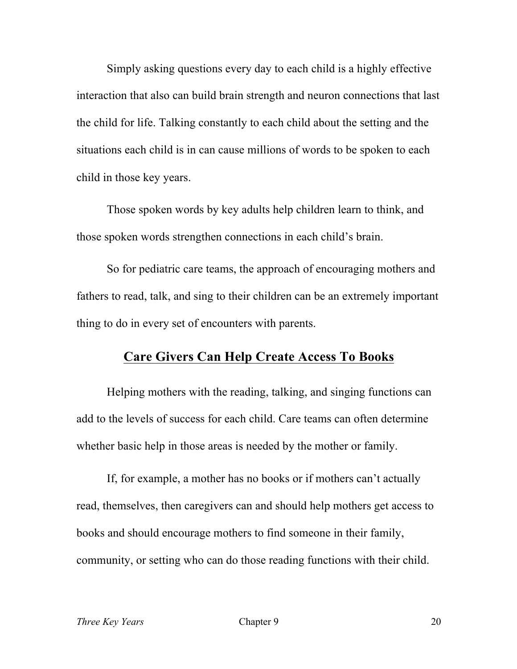Simply asking questions every day to each child is a highly effective interaction that also can build brain strength and neuron connections that last the child for life. Talking constantly to each child about the setting and the situations each child is in can cause millions of words to be spoken to each child in those key years.

Those spoken words by key adults help children learn to think, and those spoken words strengthen connections in each child's brain.

So for pediatric care teams, the approach of encouraging mothers and fathers to read, talk, and sing to their children can be an extremely important thing to do in every set of encounters with parents.

#### **Care Givers Can Help Create Access To Books**

Helping mothers with the reading, talking, and singing functions can add to the levels of success for each child. Care teams can often determine whether basic help in those areas is needed by the mother or family.

If, for example, a mother has no books or if mothers can't actually read, themselves, then caregivers can and should help mothers get access to books and should encourage mothers to find someone in their family, community, or setting who can do those reading functions with their child.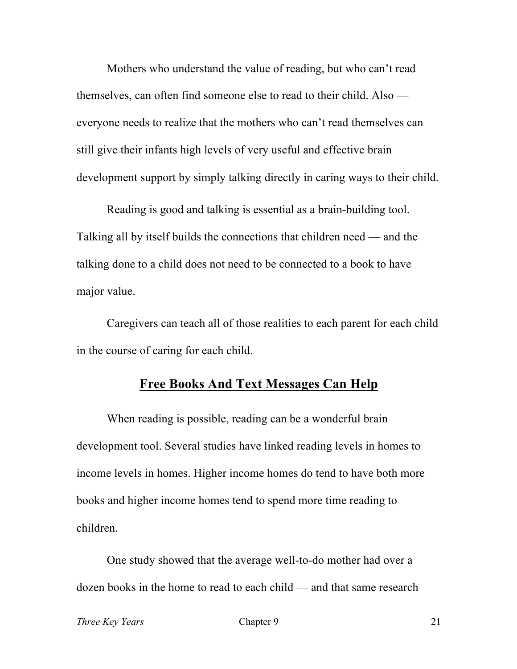Mothers who understand the value of reading, but who can't read themselves, can often find someone else to read to their child. Also everyone needs to realize that the mothers who can't read themselves can still give their infants high levels of very useful and effective brain development support by simply talking directly in caring ways to their child.

Reading is good and talking is essential as a brain-building tool. Talking all by itself builds the connections that children need — and the talking done to a child does not need to be connected to a book to have major value.

Caregivers can teach all of those realities to each parent for each child in the course of caring for each child.

#### **Free Books And Text Messages Can Help**

When reading is possible, reading can be a wonderful brain development tool. Several studies have linked reading levels in homes to income levels in homes. Higher income homes do tend to have both more books and higher income homes tend to spend more time reading to children.

One study showed that the average well-to-do mother had over a dozen books in the home to read to each child — and that same research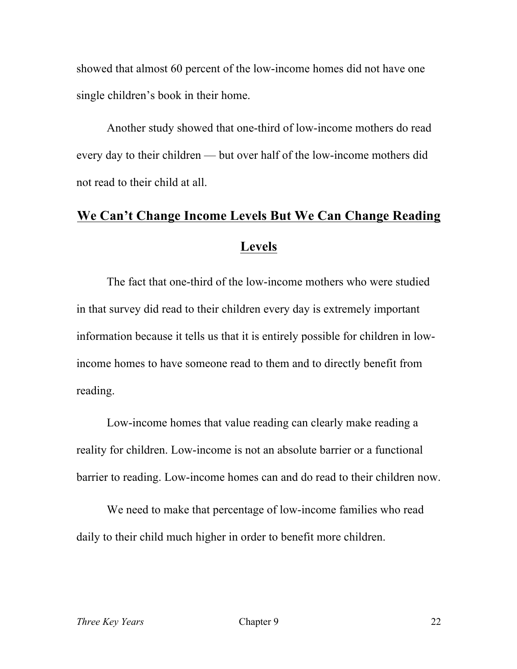showed that almost 60 percent of the low-income homes did not have one single children's book in their home.

Another study showed that one-third of low-income mothers do read every day to their children — but over half of the low-income mothers did not read to their child at all.

# **We Can't Change Income Levels But We Can Change Reading Levels**

The fact that one-third of the low-income mothers who were studied in that survey did read to their children every day is extremely important information because it tells us that it is entirely possible for children in lowincome homes to have someone read to them and to directly benefit from reading.

Low-income homes that value reading can clearly make reading a reality for children. Low-income is not an absolute barrier or a functional barrier to reading. Low-income homes can and do read to their children now.

We need to make that percentage of low-income families who read daily to their child much higher in order to benefit more children.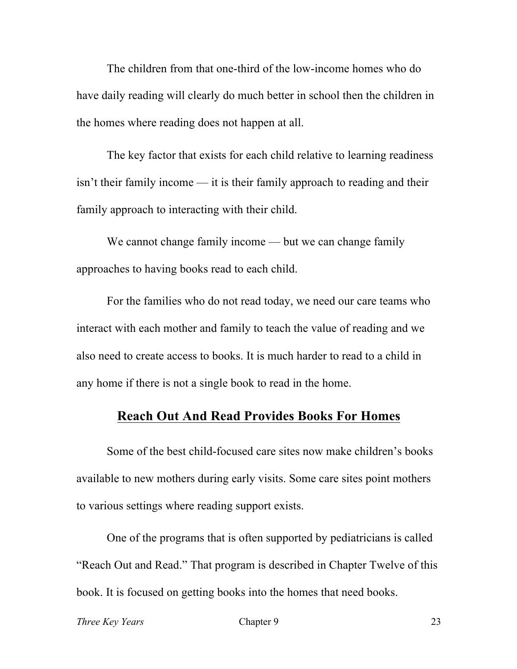The children from that one-third of the low-income homes who do have daily reading will clearly do much better in school then the children in the homes where reading does not happen at all.

The key factor that exists for each child relative to learning readiness isn't their family income — it is their family approach to reading and their family approach to interacting with their child.

We cannot change family income — but we can change family approaches to having books read to each child.

For the families who do not read today, we need our care teams who interact with each mother and family to teach the value of reading and we also need to create access to books. It is much harder to read to a child in any home if there is not a single book to read in the home.

### **Reach Out And Read Provides Books For Homes**

Some of the best child-focused care sites now make children's books available to new mothers during early visits. Some care sites point mothers to various settings where reading support exists.

One of the programs that is often supported by pediatricians is called "Reach Out and Read." That program is described in Chapter Twelve of this book. It is focused on getting books into the homes that need books.

*Three Key Years* Chapter 9 23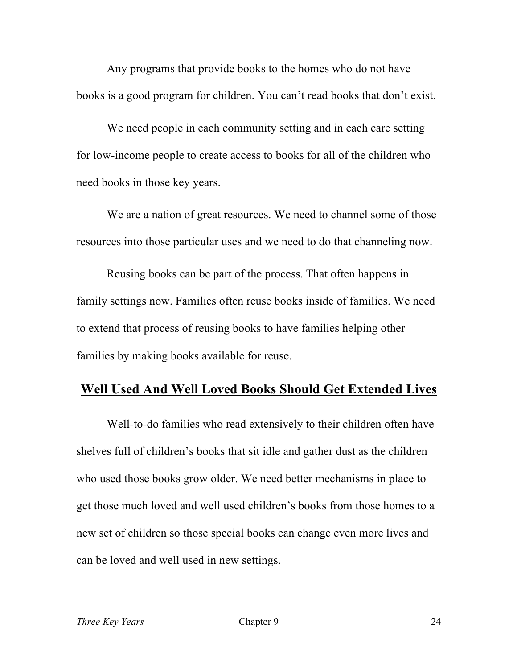Any programs that provide books to the homes who do not have books is a good program for children. You can't read books that don't exist.

We need people in each community setting and in each care setting for low-income people to create access to books for all of the children who need books in those key years.

We are a nation of great resources. We need to channel some of those resources into those particular uses and we need to do that channeling now.

Reusing books can be part of the process. That often happens in family settings now. Families often reuse books inside of families. We need to extend that process of reusing books to have families helping other families by making books available for reuse.

#### **Well Used And Well Loved Books Should Get Extended Lives**

Well-to-do families who read extensively to their children often have shelves full of children's books that sit idle and gather dust as the children who used those books grow older. We need better mechanisms in place to get those much loved and well used children's books from those homes to a new set of children so those special books can change even more lives and can be loved and well used in new settings.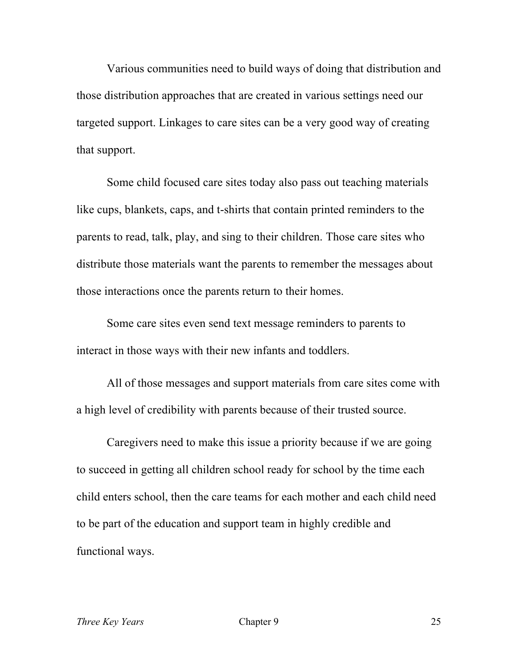Various communities need to build ways of doing that distribution and those distribution approaches that are created in various settings need our targeted support. Linkages to care sites can be a very good way of creating that support.

Some child focused care sites today also pass out teaching materials like cups, blankets, caps, and t-shirts that contain printed reminders to the parents to read, talk, play, and sing to their children. Those care sites who distribute those materials want the parents to remember the messages about those interactions once the parents return to their homes.

Some care sites even send text message reminders to parents to interact in those ways with their new infants and toddlers.

All of those messages and support materials from care sites come with a high level of credibility with parents because of their trusted source.

Caregivers need to make this issue a priority because if we are going to succeed in getting all children school ready for school by the time each child enters school, then the care teams for each mother and each child need to be part of the education and support team in highly credible and functional ways.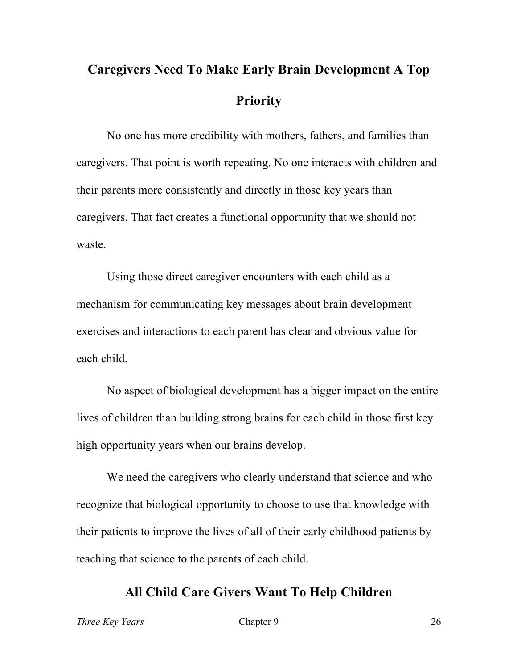# **Caregivers Need To Make Early Brain Development A Top Priority**

No one has more credibility with mothers, fathers, and families than caregivers. That point is worth repeating. No one interacts with children and their parents more consistently and directly in those key years than caregivers. That fact creates a functional opportunity that we should not waste.

Using those direct caregiver encounters with each child as a mechanism for communicating key messages about brain development exercises and interactions to each parent has clear and obvious value for each child.

No aspect of biological development has a bigger impact on the entire lives of children than building strong brains for each child in those first key high opportunity years when our brains develop.

We need the caregivers who clearly understand that science and who recognize that biological opportunity to choose to use that knowledge with their patients to improve the lives of all of their early childhood patients by teaching that science to the parents of each child.

### **All Child Care Givers Want To Help Children**

*Three Key Years* Chapter 9 26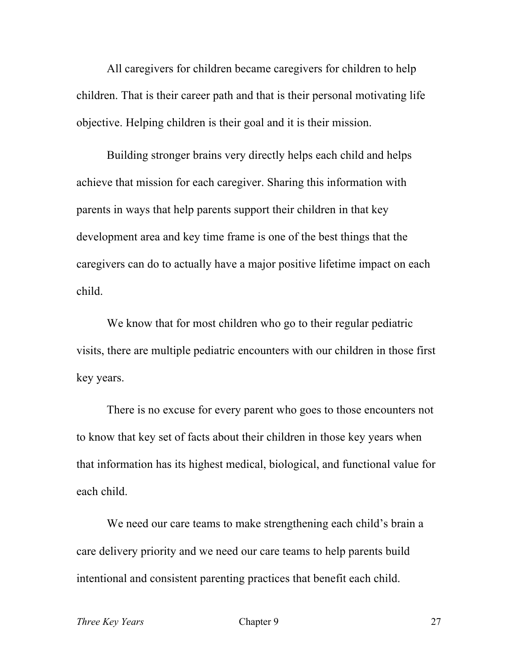All caregivers for children became caregivers for children to help children. That is their career path and that is their personal motivating life objective. Helping children is their goal and it is their mission.

Building stronger brains very directly helps each child and helps achieve that mission for each caregiver. Sharing this information with parents in ways that help parents support their children in that key development area and key time frame is one of the best things that the caregivers can do to actually have a major positive lifetime impact on each child.

We know that for most children who go to their regular pediatric visits, there are multiple pediatric encounters with our children in those first key years.

There is no excuse for every parent who goes to those encounters not to know that key set of facts about their children in those key years when that information has its highest medical, biological, and functional value for each child.

We need our care teams to make strengthening each child's brain a care delivery priority and we need our care teams to help parents build intentional and consistent parenting practices that benefit each child.